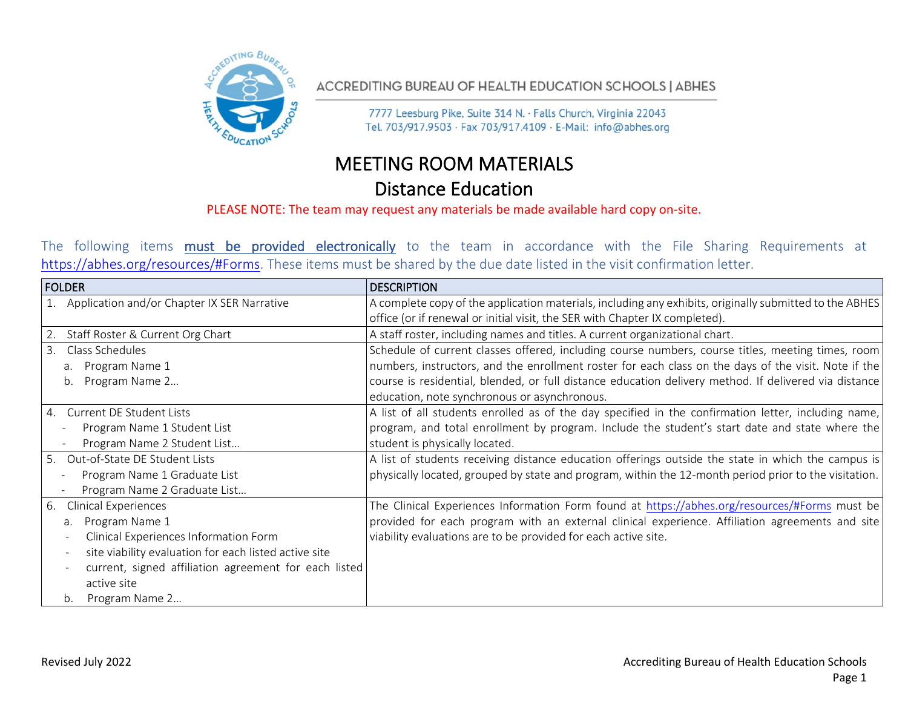

ACCREDITING BUREAU OF HEALTH EDUCATION SCHOOLS | ABHES

7777 Leesburg Pike, Suite 314 N. · Falls Church, Virginia 22043 Tel. 703/917.9503 · Fax 703/917.4109 · E-Mail: info@abhes.org

## MEETING ROOM MATERIALS Distance Education

## PLEASE NOTE: The team may request any materials be made available hard copy on-site.

The following items **must be provided electronically** to the team in accordance with the File Sharing Requirements at https://abhes.org/resources/#Forms. These items must be shared by the due date listed in the visit confirmation letter.

| <b>FOLDER</b>                                         | <b>DESCRIPTION</b>                                                                                      |
|-------------------------------------------------------|---------------------------------------------------------------------------------------------------------|
| 1. Application and/or Chapter IX SER Narrative        | A complete copy of the application materials, including any exhibits, originally submitted to the ABHES |
|                                                       | office (or if renewal or initial visit, the SER with Chapter IX completed).                             |
| 2. Staff Roster & Current Org Chart                   | A staff roster, including names and titles. A current organizational chart.                             |
| 3. Class Schedules                                    | Schedule of current classes offered, including course numbers, course titles, meeting times, room       |
| Program Name 1<br>a.                                  | numbers, instructors, and the enrollment roster for each class on the days of the visit. Note if the    |
| Program Name 2<br>b.                                  | course is residential, blended, or full distance education delivery method. If delivered via distance   |
|                                                       | education, note synchronous or asynchronous.                                                            |
| 4. Current DE Student Lists                           | A list of all students enrolled as of the day specified in the confirmation letter, including name,     |
| Program Name 1 Student List                           | program, and total enrollment by program. Include the student's start date and state where the          |
| Program Name 2 Student List                           | student is physically located.                                                                          |
| 5. Out-of-State DE Student Lists                      | A list of students receiving distance education offerings outside the state in which the campus is      |
| Program Name 1 Graduate List                          | physically located, grouped by state and program, within the 12-month period prior to the visitation.   |
| Program Name 2 Graduate List                          |                                                                                                         |
| <b>Clinical Experiences</b><br>6.                     | The Clinical Experiences Information Form found at https://abhes.org/resources/#Forms must be           |
| Program Name 1<br>a.                                  | provided for each program with an external clinical experience. Affiliation agreements and site         |
| Clinical Experiences Information Form                 | viability evaluations are to be provided for each active site.                                          |
| site viability evaluation for each listed active site |                                                                                                         |
| current, signed affiliation agreement for each listed |                                                                                                         |
| active site                                           |                                                                                                         |
| Program Name 2<br>b.                                  |                                                                                                         |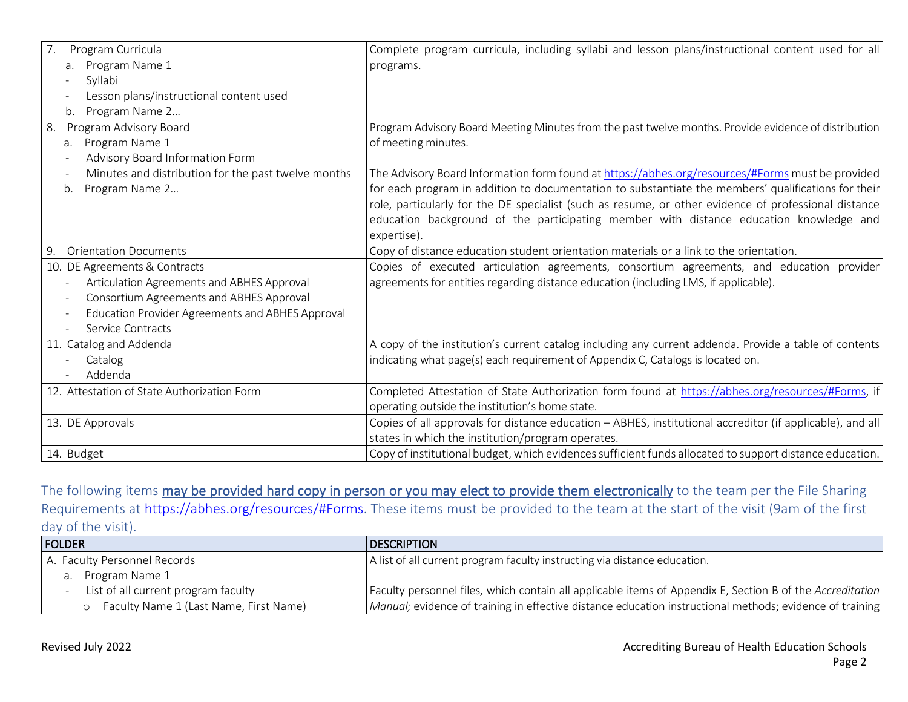| 7.<br>Program Curricula<br>Program Name 1<br>a.<br>Syllabi<br>Lesson plans/instructional content used<br>Program Name 2<br>b.                                                                                                                                      | Complete program curricula, including syllabi and lesson plans/instructional content used for all<br>programs.                                                                                                                                                                                                                                                                                                           |
|--------------------------------------------------------------------------------------------------------------------------------------------------------------------------------------------------------------------------------------------------------------------|--------------------------------------------------------------------------------------------------------------------------------------------------------------------------------------------------------------------------------------------------------------------------------------------------------------------------------------------------------------------------------------------------------------------------|
| 8.<br>Program Advisory Board<br>Program Name 1<br>a.<br>Advisory Board Information Form                                                                                                                                                                            | Program Advisory Board Meeting Minutes from the past twelve months. Provide evidence of distribution<br>of meeting minutes.                                                                                                                                                                                                                                                                                              |
| Minutes and distribution for the past twelve months<br>Program Name 2<br>b.                                                                                                                                                                                        | The Advisory Board Information form found at https://abhes.org/resources/#Forms must be provided<br>for each program in addition to documentation to substantiate the members' qualifications for their<br>role, particularly for the DE specialist (such as resume, or other evidence of professional distance<br>education background of the participating member with distance education knowledge and<br>expertise). |
| <b>Orientation Documents</b><br>9.                                                                                                                                                                                                                                 | Copy of distance education student orientation materials or a link to the orientation.                                                                                                                                                                                                                                                                                                                                   |
| 10. DE Agreements & Contracts<br>Articulation Agreements and ABHES Approval<br>Consortium Agreements and ABHES Approval<br>$\overline{\phantom{a}}$<br>Education Provider Agreements and ABHES Approval<br>$\overline{\phantom{a}}$<br>Service Contracts<br>$\sim$ | Copies of executed articulation agreements, consortium agreements, and education provider<br>agreements for entities regarding distance education (including LMS, if applicable).                                                                                                                                                                                                                                        |
| 11. Catalog and Addenda<br>Catalog<br>Addenda                                                                                                                                                                                                                      | A copy of the institution's current catalog including any current addenda. Provide a table of contents<br>indicating what page(s) each requirement of Appendix C, Catalogs is located on.                                                                                                                                                                                                                                |
| 12. Attestation of State Authorization Form                                                                                                                                                                                                                        | Completed Attestation of State Authorization form found at https://abhes.org/resources/#Forms, if<br>operating outside the institution's home state.                                                                                                                                                                                                                                                                     |
| 13. DE Approvals                                                                                                                                                                                                                                                   | Copies of all approvals for distance education - ABHES, institutional accreditor (if applicable), and all<br>states in which the institution/program operates.                                                                                                                                                                                                                                                           |
| 14. Budget                                                                                                                                                                                                                                                         | Copy of institutional budget, which evidences sufficient funds allocated to support distance education.                                                                                                                                                                                                                                                                                                                  |

The following items may be provided hard copy in person or you may elect to provide them electronically to the team per the File Sharing Requirements at [https://abhes.org/resources/#Forms.](https://abhes.org/resources/#Forms) These items must be provided to the team at the start of the visit (9am of the first day of the visit).

| <b>FOLDER</b>                          | <b>IDESCRIPTION</b>                                                                                       |
|----------------------------------------|-----------------------------------------------------------------------------------------------------------|
| A. Faculty Personnel Records           | A list of all current program faculty instructing via distance education.                                 |
| Program Name 1<br>а.                   |                                                                                                           |
| List of all current program faculty    | Faculty personnel files, which contain all applicable items of Appendix E, Section B of the Accreditation |
| Faculty Name 1 (Last Name, First Name) | Manual; evidence of training in effective distance education instructional methods; evidence of training  |